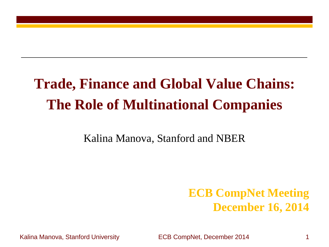# **Trade, Finance and Global Value Chains: The Role of Multinational Companies**

Kalina Manova, Stanford and NBER

### **ECB CompNet Meeting December 16, 2014**

Kalina Manova, Stanford University ECB CompNet, December 2014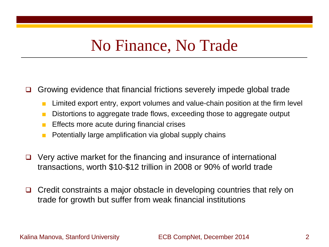## No Finance, No Trade

 $\Box$  Growing evidence that financial frictions severely impede global trade

- Limited export entry, export volumes and value-chain position at the firm level
- Distortions to aggregate trade flows, exceeding those to aggregate output
- Effects more acute during financial crises
- Potentially large amplification via global supply chains
- $\Box$  Very active market for the financing and insurance of international transactions, worth \$10-\$12 trillion in 2008 or 90% of world trade
- $\Box$  Credit constraints a major obstacle in developing countries that rely on trade for growth but suffer from weak financial institutions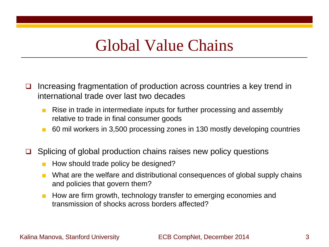## Global Value Chains

- $\Box$  Increasing fragmentation of production across countries a key trend in international trade over last two decades
	- Rise in trade in intermediate inputs for further processing and assembly relative to trade in final consumer goods
	- 60 mil workers in 3,500 processing zones in 130 mostly developing countries
- $\Box$  Splicing of global production chains raises new policy questions
	- How should trade policy be designed?
	- What are the welfare and distributional consequences of global supply chains and policies that govern them?
	- How are firm growth, technology transfer to emerging economies and transmission of shocks across borders affected?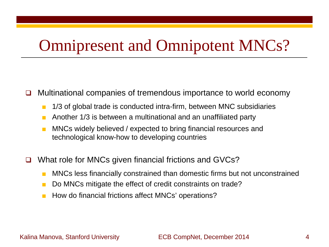## Omnipresent and Omnipotent MNCs?

- $\Box$  Multinational companies of tremendous importance to world economy
	- 1/3 of global trade is conducted intra-firm, between MNC subsidiaries
	- Another 1/3 is between a multinational and an unaffiliated party
	- MNCs widely believed / expected to bring financial resources and technological know-how to developing countries
- □ What role for MNCs given financial frictions and GVCs?
	- MNCs less financially constrained than domestic firms but not unconstrained
	- Do MNCs mitigate the effect of credit constraints on trade?
	- How do financial frictions affect MNCs' operations?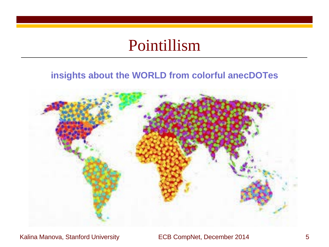## Pointillism

### **insights about the WORLD from colorful anecDOTes**



Kalina Manova, Stanford University **ECB CompNet, December 2014** 5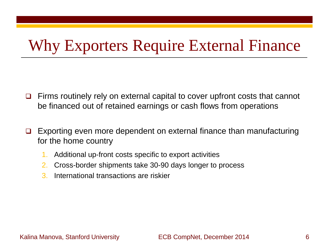# Why Exporters Require External Finance

- $\Box$  Firms routinely rely on external capital to cover upfront costs that cannot be financed out of retained earnings or cash flows from operations
- $\Box$  Exporting even more dependent on external finance than manufacturing for the home country
	- 1. Additional up-front costs specific to export activities
	- 2. Cross-border shipments take 30-90 days longer to process
	- 3. International transactions are riskier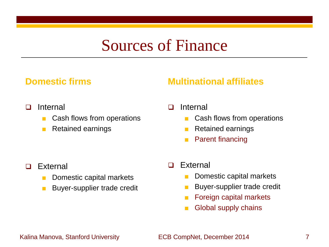## Sources of Finance

#### **Domestic firms**

### **Multinational affiliates**

- □ Internal
	- Cash flows from operations
	- Retained earnings
- □ Internal
	- Cash flows from operations
	- Retained earnings
	- **Parent financing**

- □ External
	- Domestic capital markets
	- Buyer-supplier trade credit
- □ External
	- Domestic capital markets
	- Buyer-supplier trade credit
	- Foreign capital markets
	- Global supply chains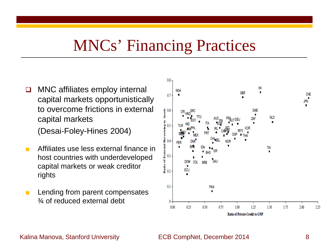## MNCs' Financing Practices

 $\Box$  MNC affiliates employ internal capital markets opportunistically to overcome frictions in external capital markets

(Desai-Foley-Hines 2004)

- Affiliates use less external finance in host countries with underdeveloped capital markets or weak creditor rights
- Lending from parent compensates ¾ of reduced external debt

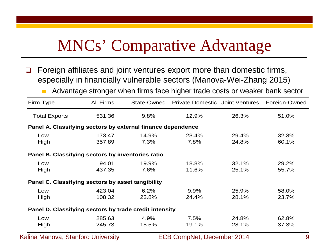# MNCs' Comparative Advantage

- $\Box$  Foreign affiliates and joint ventures export more than domestic firms, especially in financially vulnerable sectors (Manova-Wei-Zhang 2015)
	- Advantage stronger when firms face higher trade costs or weaker bank sector

| Firm Type                                                   | <b>All Firms</b> |       | State-Owned Private Domestic Joint Ventures |       | Foreign-Owned |
|-------------------------------------------------------------|------------------|-------|---------------------------------------------|-------|---------------|
| <b>Total Exports</b>                                        | 531.36           | 9.8%  | 12.9%                                       | 26.3% | 51.0%         |
| Panel A. Classifying sectors by external finance dependence |                  |       |                                             |       |               |
| Low                                                         | 173.47           | 14.9% | 23.4%                                       | 29.4% | 32.3%         |
| High                                                        | 357.89           | 7.3%  | 7.8%                                        | 24.8% | 60.1%         |
| Panel B. Classifying sectors by inventories ratio           |                  |       |                                             |       |               |
| Low                                                         | 94.01            | 19.9% | 18.8%                                       | 32.1% | 29.2%         |
| High                                                        | 437.35           | 7.6%  | 11.6%                                       | 25.1% | 55.7%         |
| Panel C. Classifying sectors by asset tangibility           |                  |       |                                             |       |               |
| Low                                                         | 423.04           | 6.2%  | 9.9%                                        | 25.9% | 58.0%         |
| High                                                        | 108.32           | 23.8% | 24.4%                                       | 28.1% | 23.7%         |
| Panel D. Classifying sectors by trade credit intensity      |                  |       |                                             |       |               |
| Low                                                         | 285.63           | 4.9%  | 7.5%                                        | 24.8% | 62.8%         |
| High                                                        | 245.73           | 15.5% | 19.1%                                       | 28.1% | 37.3%         |

Kalina Manova, Stanford University **ECB CompNet, December 2014** 9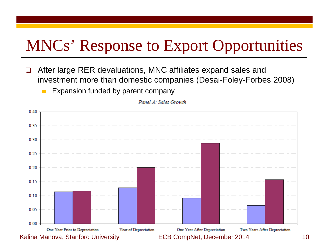# MNCs' Response to Export Opportunities

- $\Box$  After large RER devaluations, MNC affiliates expand sales and investment more than domestic companies (Desai-Foley-Forbes 2008)
	- Expansion funded by parent company



Panel A: Sales Growth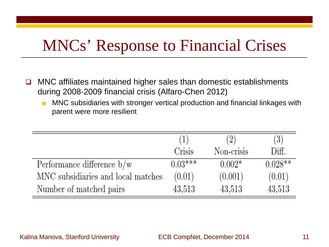# MNCs' Response to Financial Crises

- $\Box$  MNC affiliates maintained higher sales than domestic establishments during 2008-2009 financial crisis (Alfaro-Chen 2012)
	- MNC subsidiaries with stronger vertical production and financial linkages with parent were more resilient

|                                    | (1)       | (2)        | $\left( 3\right)$ |
|------------------------------------|-----------|------------|-------------------|
|                                    | Crisis    | Non-crisis | Diff.             |
| Performance difference $b/w$       | $0.03***$ | $0.002*$   | $0.028**$         |
| MNC subsidiaries and local matches | (0.01)    | (0.001)    | (0.01)            |
| Number of matched pairs            | 43,513    | 43,513     | 43,513            |

#### Kalina Manova, Stanford University **ECB CompNet, December 2014** 11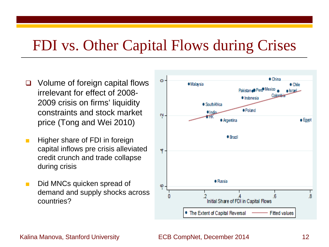## FDI vs. Other Capital Flows during Crises

- Volume of foreign capital flows irrelevant for effect of 2008- 2009 crisis on firms' liquidity constraints and stock market price (Tong and Wei 2010)
- Higher share of FDI in foreign capital inflows pre crisis alleviated credit crunch and trade collapse during crisis
- Did MNCs quicken spread of demand and supply shocks across countries?

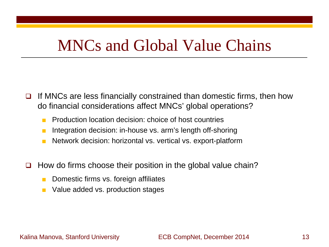## MNCs and Global Value Chains

- If MNCs are less financially constrained than domestic firms, then how do financial considerations affect MNCs' global operations?
	- Production location decision: choice of host countries
	- Integration decision: in-house vs. arm's length off-shoring
	- Network decision: horizontal vs. vertical vs. export-platform
- $\Box$  How do firms choose their position in the global value chain?
	- Domestic firms vs. foreign affiliates
	- Value added vs. production stages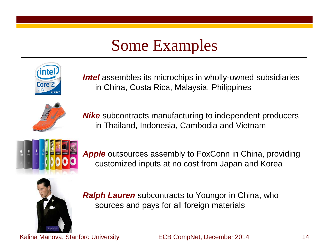# Some Examples



*Intel* assembles its microchips in wholly-owned subsidiaries in China, Costa Rica, Malaysia, Philippines



*Nike* subcontracts manufacturing to independent producers in Thailand, Indonesia, Cambodia and Vietnam



*Apple* outsources assembly to FoxConn in China, providing customized inputs at no cost from Japan and Korea



*Ralph Lauren* subcontracts to Youngor in China, who sources and pays for all foreign materials

Kalina Manova, Stanford University **ECB CompNet, December 2014** 14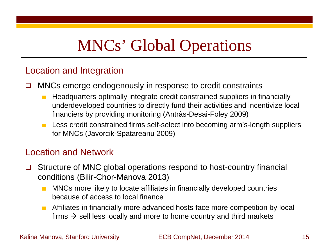# MNCs' Global Operations

#### Location and Integration

- $\Box$  MNCs emerge endogenously in response to credit constraints
	- Headquarters optimally integrate credit constrained suppliers in financially underdeveloped countries to directly fund their activities and incentivize local financiers by providing monitoring (Antràs-Desai-Foley 2009)
	- Less credit constrained firms self-select into becoming arm's-length suppliers for MNCs (Javorcik-Spatareanu 2009)

#### Location and Network

- **□** Structure of MNC global operations respond to host-country financial conditions (Bilir-Chor-Manova 2013)
	- MNCs more likely to locate affiliates in financially developed countries because of access to local finance
	- Affiliates in financially more advanced hosts face more competition by local firms  $\rightarrow$  sell less locally and more to home country and third markets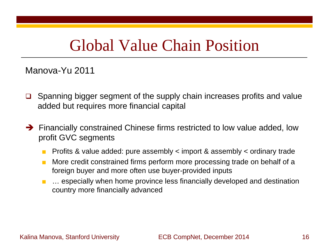## Global Value Chain Position

Manova-Yu 2011

- $\Box$  Spanning bigger segment of the supply chain increases profits and value added but requires more financial capital
- → Financially constrained Chinese firms restricted to low value added, low profit GVC segments
	- Profits & value added: pure assembly  $\lt$  import & assembly  $\lt$  ordinary trade
	- More credit constrained firms perform more processing trade on behalf of a foreign buyer and more often use buyer-provided inputs
	- ... especially when home province less financially developed and destination country more financially advanced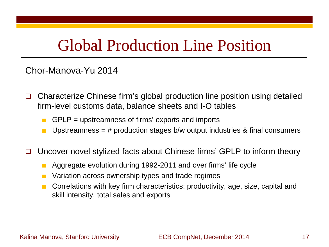## Global Production Line Position

#### Chor-Manova-Yu 2014

- □ Characterize Chinese firm's global production line position using detailed firm-level customs data, balance sheets and I-O tables
	- $\blacksquare$  GPLP = upstreamness of firms' exports and imports
	- **■** Upstreamness = # production stages  $b/w$  output industries & final consumers
- $\Box$  Uncover novel stylized facts about Chinese firms' GPLP to inform theory
	- Aggregate evolution during 1992-2011 and over firms' life cycle
	- Variation across ownership types and trade regimes
	- Correlations with key firm characteristics: productivity, age, size, capital and skill intensity, total sales and exports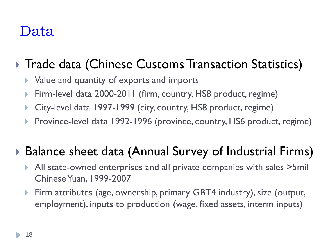### ▶ Trade data (Chinese Customs Transaction Statistics)

- **Value and quantity of exports and imports**
- ▶ Firm-level data 2000-2011 (firm, country, HS8 product, regime)
- ▶ City-level data 1997-1999 (city, country, HS8 product, regime)
- ▶ Province-level data 1992-1996 (province, country, HS6 product, regime)

## ▶ Balance sheet data (Annual Survey of Industrial Firms)

- All state-owned enterprises and all private companies with sales >5mil Chinese Yuan, 1999-2007
- ▶ Firm attributes (age, ownership, primary GBT4 industry), size (output, employment), inputs to production (wage, fixed assets, interm inputs)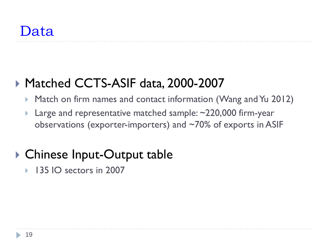## ▶ Matched CCTS-ASIF data, 2000-2007

- ▶ Match on firm names and contact information (Wang and Yu 2012)
- ▶ Large and representative matched sample: ~220,000 firm-year observations (exporter-importers) and ~70% of exports in ASIF

## ▶ Chinese Input-Output table

▶ 135 IO sectors in 2007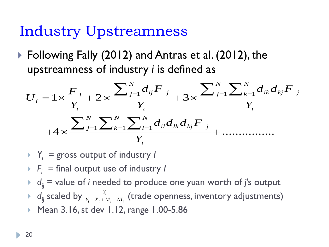## Industry Upstreamness

▶ Following Fally (2012) and Antras et al. (2012), the upstreamness of industry *i* is defined as

$$
U_{i} = 1 \times \frac{F_{i}}{Y_{i}} + 2 \times \frac{\sum_{j=1}^{N} d_{ij} F_{j}}{Y_{i}} + 3 \times \frac{\sum_{j=1}^{N} \sum_{k=1}^{N} d_{ik} d_{kj} F_{j}}{Y_{i}}
$$

$$
+4 \times \frac{\sum_{j=1}^{N} \sum_{k=1}^{N} \sum_{l=1}^{N} d_{il} d_{lk} d_{kj} F_{j}}{Y_{i}} + \dots
$$

- *Yi =* gross output of industry *I*
- $F_i$  = final output use of industry *I*
- $\rightarrow$   $d_{ij}$  = value of *i* needed to produce one yuan worth of *j*'s output
- $\blacktriangleright$  d<sub>ij</sub> scaled by  $\frac{I_i}{Y_i X_i + M_i NI_i}$  (trade openness, inventory adjustments)  $i = \mathbf{A}_i + \mathbf{M}_i - \mathbf{M}_i$ *Y*  $Y_i - X_i + M_i - NI$
- ▶ Mean 3.16, st dev 1.12, range 1.00-5.86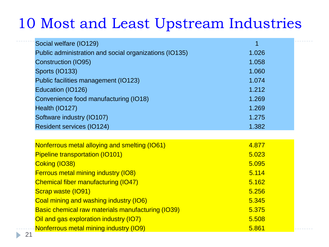## 10 Most and Least Upstream Industries

| Social welfare (IO129)                                 | 1     |  |
|--------------------------------------------------------|-------|--|
| Public administration and social organizations (IO135) | 1.026 |  |
| <b>Construction (IO95)</b>                             | 1.058 |  |
| Sports (IO133)                                         | 1.060 |  |
| Public facilities management (IO123)                   | 1.074 |  |
| Education (IO126)                                      | 1.212 |  |
| Convenience food manufacturing (IO18)                  | 1.269 |  |
| Health (IO127)                                         | 1.269 |  |
| Software industry (IO107)                              | 1.275 |  |
| <b>Resident services (IO124)</b>                       | 1.382 |  |
|                                                        |       |  |
| Nonferrous metal alloying and smelting (IO61)          | 4.877 |  |
| <b>Pipeline transportation (IO101)</b>                 | 5.023 |  |
| Coking (IO38)                                          | 5.095 |  |
| <b>Ferrous metal mining industry (IO8)</b>             | 5.114 |  |
| <b>Chemical fiber manufacturing (IO47)</b>             | 5.162 |  |
| Scrap waste (IO91)                                     | 5.256 |  |
| Coal mining and washing industry (IO6)                 | 5.345 |  |
| Basic chemical raw materials manufacturing (IO39)      | 5.375 |  |
| Oil and gas exploration industry (IO7)                 | 5.508 |  |
| Nonferrous metal mining industry (IO9)                 | 5.861 |  |
|                                                        |       |  |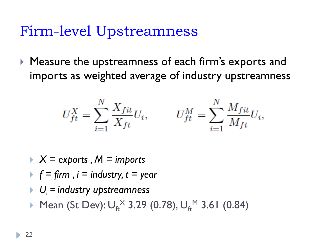Firm-level Upstreamness

▶ Measure the upstreamness of each firm's exports and imports as weighted average of industry upstreamness

$$
U_{ft}^{X} = \sum_{i=1}^{N} \frac{X_{fit}}{X_{ft}} U_i, \qquad U_{ft}^{M} = \sum_{i=1}^{N} \frac{M_{fit}}{M_{ft}} U_i,
$$

- *X = exports , M = imports*
- $\blacktriangleright$   $f = \text{firm }$ ,  $i = \text{industry}, t = \text{year}$
- *Ui = industry upstreamness*
- ▶ Mean (St Dev):  $U_{ft}^{\times}$  3.29 (0.78),  $U_{ft}^{\times}$  3.61 (0.84)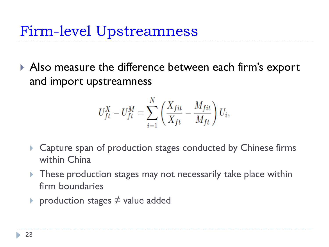▶ Also measure the difference between each firm's export and import upstreamness

$$
U_{ft}^X - U_{ft}^M = \sum_{i=1}^N \left( \frac{X_{fit}}{X_{ft}} - \frac{M_{fit}}{M_{ft}} \right) U_i,
$$

- ▶ Capture span of production stages conducted by Chinese firms within China
- **These production stages may not necessarily take place within** firm boundaries
- ▶ production stages  $\neq$  value added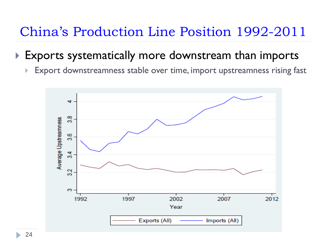## China's Production Line Position 1992-2011

### Exports systematically more downstream than imports

**Export downstreamness stable over time, import upstreamness rising fast** 



24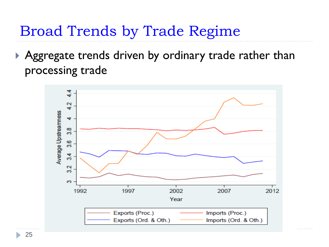Broad Trends by Trade Regime

Aggregate trends driven by ordinary trade rather than processing trade



25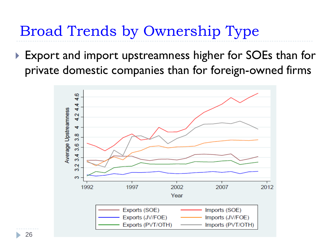Broad Trends by Ownership Type

▶ Export and import upstreamness higher for SOEs than for private domestic companies than for foreign-owned firms



26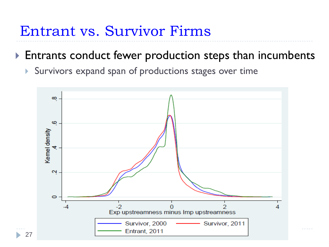## Entrant vs. Survivor Firms

### **Entrants conduct fewer production steps than incumbents**

Survivors expand span of productions stages over time

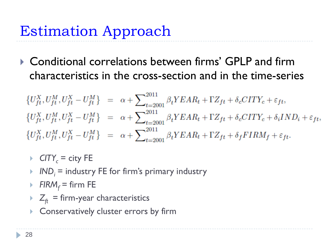▶ Conditional correlations between firms' GPLP and firm characteristics in the cross-section and in the time-series

 $\left\{U_{ft}^X,U_{ft}^M,U_{ft}^X-U_{ft}^M\right\} \;\;=\;\; \alpha+\sum\nolimits_{t=2001}^{2011}\beta_t YEAR_t+\Gamma Z_{ft}+\delta_c CITY_c+\varepsilon_{ft},$  $\{U_{ft}^X, U_{ft}^M, U_{ft}^X - U_{ft}^M\}$  =  $\alpha + \sum_{t=2001}^{2011} \beta_t YEAR_t + \Gamma Z_{ft} + \delta_c CITY_c + \delta_i IND_i + \varepsilon_{ft},$  $\left\{U_{ft}^X,U_{ft}^M,U_{ft}^X-U_{ft}^M\right\} \;\;=\;\; \alpha+\sum\nolimits_{t=2001}^{2011}\beta_tYEAR_t+\Gamma Z_{ft}+\delta_f FIRM_f+\varepsilon_{ft}.$ 

- $\triangleright$  CITY<sub>c</sub> = city FE
- $I \cap I \cap I$  = industry FE for firm's primary industry
- *FIRM<sub>f</sub>* = firm FE
- $Z<sub>ft</sub>$  = firm-year characteristics
- **Conservatively cluster errors by firm**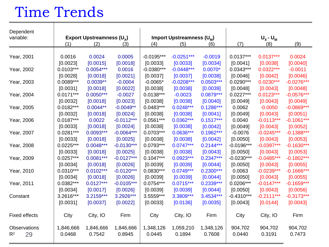# Time Trends

| Dependent            |             |                             |              |              |                                       |             |              |              |              |  |  |
|----------------------|-------------|-----------------------------|--------------|--------------|---------------------------------------|-------------|--------------|--------------|--------------|--|--|
| variable:            |             | Export Upstreamness $(U_x)$ |              |              | Import Upstreamness (U <sub>M</sub> ) |             |              | $U_x - U_m$  |              |  |  |
|                      | (1)         | (2)                         | (3)          | (4)          | (5)                                   | (6)         | (7)          | (8)          | (9)          |  |  |
| Year, 2001           | 0.0016      | 0.0024                      | 0.0005       | $-0.0195***$ | $-0.0251***$                          | $-0.0019$   | $0.0137***$  | $0.0137***$  | 0.0024       |  |  |
|                      | [0.0023]    | [0.0015]                    | [0.0018]     | [0.0033]     | [0.0033]                              | [0.0034]    | [0.0041]     | [0.0038]     | [0.0040]     |  |  |
| Year, 2002           | $0.0103***$ | $0.0054***$                 | 0.0016       | $-0.0380***$ | $-0.0448***$                          | $0.0070*$   | $0.0343***$  | $0.0322***$  | $-0.0011$    |  |  |
|                      | [0.0028]    | [0.0018]                    | [0.0021]     | [0.0037]     | [0.0037]                              | [0.0038]    | [0.0046]     | [0.0042]     | [0.0046]     |  |  |
| Year, 2003           | $0.0089***$ | $0.0039**$                  | $-0.0004$    | $-0.0065*$   | $-0.0208***$                          | $0.0503***$ | $0.0290***$  | $0.0230***$  | $-0.0276***$ |  |  |
|                      | [0.0031]    | [0.0018]                    | [0.0022]     | [0.0038]     | [0.0038]                              | [0.0039]    | [0.0048]     | [0.0043]     | [0.0048]     |  |  |
| Year, 2004           | $0.0171***$ | $0.0050***$                 | $-0.0027$    | $0.0138***$  | $-0.0023$                             | $0.0879***$ | $0.0227***$  | $0.0123***$  | $-0.0576***$ |  |  |
|                      | [0.0032]    | [0.0018]                    | [0.0023]     | [0.0038]     | [0.0038]                              | [0.0040]    | [0.0049]     | [0.0043]     | [0.0049]     |  |  |
| Year, 2005           | $0.0182***$ | $0.0044**$                  | $-0.0049**$  | $0.0483***$  | $0.0248***$                           | $0.1286***$ | 0.0062       | $-0.0050$    | $-0.0869***$ |  |  |
|                      | [0.0032]    | [0.0018]                    | [0.0024]     | [0.0038]     | [0.0038]                              | [0.0041]    | [0.0049]     | [0.0043]     | [0.0051]     |  |  |
| Year, 2006           | $0.0187***$ | 0.0022                      | $-0.0112***$ | $0.0561***$  | $0.0362***$                           | $0.1517***$ | 0.0040       | $-0.0113***$ | $-0.1061***$ |  |  |
|                      | [0.0033]    | [0.0018]                    | [0.0024]     | [0.0038]     | [0.0038]                              | [0.0042]    | [0.0049]     | [0.0043]     | [0.0052]     |  |  |
| Year, 2007           | $0.0281***$ | $0.0093***$                 | $-0.0064***$ | $0.0703***$  | $0.0636***$                           | $0.1962***$ | $-0.0076$    | $-0.0245***$ | $-0.1388***$ |  |  |
|                      | [0.0033]    | [0.0018]                    | [0.0025]     | [0.0038]     | [0.0038]                              | [0.0042]    | [0.0050]     | [0.0043]     | [0.0053]     |  |  |
| Year, 2008           | $0.0225***$ | $0.0048***$                 | $-0.0130***$ | 0.0793***    | $0.0747***$                           | $0.2144***$ | $-0.0196***$ | $-0.0397***$ | $-0.1630***$ |  |  |
|                      | [0.0033]    | [0.0018]                    | [0.0025]     | [0.0038]     | [0.0038]                              | [0.0043]    | [0.0050]     | [0.0043]     | [0.0053]     |  |  |
| Year, 2009           | $0.0257***$ | $0.0081***$                 | $-0.0127***$ | $0.1047***$  | $0.0923***$                           | $0.2347***$ | $-0.0230***$ | $-0.0485***$ | $-0.1802***$ |  |  |
|                      | [0.0034]    | [0.0018]                    | [0.0026]     | [0.0039]     | [0.0039]                              | [0.0044]    | [0.0050]     | [0.0043]     | [0.0055]     |  |  |
| Year, 2010           | $0.0310***$ | $0.0102***$                 | $-0.0120***$ | $0.0830***$  | $0.0749***$                           | $0.2300***$ | 0.0063       | $-0.0239***$ | $-0.1666***$ |  |  |
|                      | [0.0034]    | [0.0018]                    | [0.0026]     | [0.0039]     | [0.0039]                              | [0.0044]    | [0.0050]     | [0.0043]     | [0.0055]     |  |  |
| Year, 2011           | $0.0382***$ | $0.0127***$                 | $-0.0105***$ | $0.0754***$  | $0.0715***$                           | $0.2339***$ | $0.0206***$  | $-0.0147***$ | $-0.1659***$ |  |  |
|                      | [0.0034]    | [0.0017]                    | [0.0026]     | [0.0039]     | [0.0039]                              | [0.0044]    | [0.0050]     | [0.0043]     | [0.0056]     |  |  |
| Constant             | 3.2616***   | 3.2159***                   | 3.2926***    | 3.5559***    | 3.3809***                             | 3.4534***   | $-0.4310***$ | $-0.2111***$ | $-0.3173***$ |  |  |
|                      | [0.0031]    | [0.0037]                    | [0.0022]     | [0.0033]     | [0.0136]                              | [0.0035]    | [0.0043]     | [0.0144]     | [0.0043]     |  |  |
| <b>Fixed effects</b> | City        | City, IO                    | Firm         | City         | City, IO                              | Firm        | City         | City, IO     | Firm         |  |  |
| <b>Observations</b>  | 1,846,666   | 1,846,666                   | 1,846,666    | 1,348,126    | 1,059,210                             | 1,348,126   | 904,702      | 904,702      | 904,702      |  |  |
| 29<br>$R^2$          | 0.0468      | 0.7542                      | 0.8945       | 0.0445       | 0.1894                                | 0.7608      | 0.0440       | 0.3191       | 0.7473       |  |  |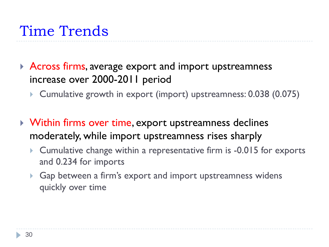# Time Trends

- Across firms, average export and import upstreamness increase over 2000-2011 period
	- Cumulative growth in export (import) upstreamness: 0.038 (0.075)
- Within firms over time, export upstreamness declines moderately, while import upstreamness rises sharply
	- Cumulative change within a representative firm is -0.015 for exports and 0.234 for imports
	- ▶ Gap between a firm's export and import upstreamness widens quickly over time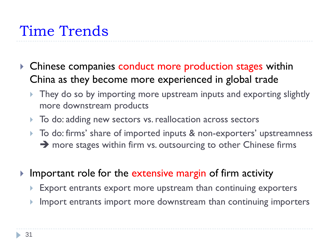# Time Trends

- ▶ Chinese companies conduct more production stages within China as they become more experienced in global trade
	- ▶ They do so by importing more upstream inputs and exporting slightly more downstream products
	- $\triangleright$  To do: adding new sectors vs. reallocation across sectors
	- ▶ To do: firms' share of imported inputs & non-exporters' upstreamness  $\rightarrow$  more stages within firm vs. outsourcing to other Chinese firms
- Important role for the extensive margin of firm activity
	- Export entrants export more upstream than continuing exporters
	- Import entrants import more downstream than continuing importers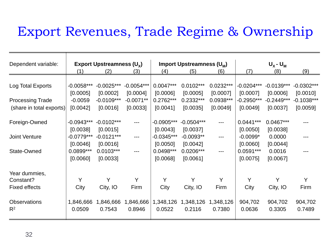### Export Revenues, Trade Regime & Ownership

| Dependent variable:      |              | Export Upstreamness $(U_x)$ |              |              | $U_x - U_m$<br>Import Upstreamness (U <sub>M</sub> ) |             |              |              |              |
|--------------------------|--------------|-----------------------------|--------------|--------------|------------------------------------------------------|-------------|--------------|--------------|--------------|
|                          | (1)          | (2)                         | (3)          | (4)          | (5)                                                  | (6)         | (7)          | (8)          | (9)          |
|                          |              |                             |              |              |                                                      |             |              |              |              |
| Log Total Exports        | $-0.0058***$ | $-0.0025***$                | $-0.0054***$ | $0.0047***$  | $0.0102***$                                          | $0.0232***$ | $-0.0204***$ | $-0.0139***$ | $-0.0302***$ |
|                          | [0.0005]     | [0.0002]                    | [0.0004]     | [0.0006]     | [0.0005]                                             | [0.0007]    | [0.0007]     | [0.0006]     | [0.0010]     |
| <b>Processing Trade</b>  | $-0.0059$    | $-0.0109***$                | $-0.0071**$  | 0.2762***    | 0.2332***                                            | 0.0938***   | $-0.2950***$ | $-0.2449***$ | $-0.1038***$ |
| (share in total exports) | [0.0042]     | [0.0016]                    | [0.0033]     | [0.0041]     | [0.0035]                                             | [0.0049]    | [0.0049]     | [0.0037]     | [0.0059]     |
|                          |              |                             |              |              |                                                      |             |              |              |              |
| Foreign-Owned            | $-0.0943***$ | $-0.0102***$                | ---          | $-0.0905***$ | $-0.0504***$                                         | ---         | $0.0441***$  | 0.0467***    |              |
|                          | [0.0038]     | [0.0015]                    |              | [0.0043]     | [0.0037]                                             |             | [0.0050]     | [0.0038]     |              |
| <b>Joint Venture</b>     | $-0.0779***$ | $-0.0121***$                | ---          | $-0.0345***$ | $-0.0093**$                                          | ---         | $-0.0099*$   | 0.0000       |              |
|                          | [0.0046]     | [0.0016]                    |              | [0.0050]     | [0.0042]                                             |             | [0.0060]     | [0.0044]     |              |
| State-Owned              | 0.0899***    | $0.0103***$                 | ---          | 0.0498***    | $0.0206***$                                          | ---         | $0.0591***$  | 0.0016       |              |
|                          | [0.0060]     | [0.0033]                    |              | [0.0068]     | [0.0061]                                             |             | [0.0075]     | [0.0067]     |              |
|                          |              |                             |              |              |                                                      |             |              |              |              |
| Year dummies,            |              |                             |              |              |                                                      |             |              |              |              |
| Constant?                | Y            | Y                           | Y            | Y            | Υ                                                    | Y           | Y            | Y            | Y            |
| <b>Fixed effects</b>     | City         | City, IO                    | Firm         | City         | City, IO                                             | Firm        | City         | City, IO     | Firm         |
|                          |              |                             |              |              |                                                      |             |              |              |              |
| <b>Observations</b>      | 1,846,666    | 1,846,666                   | 1,846,666    | 1,348,126    | 1,348,126                                            | 1,348,126   | 904,702      | 904,702      | 904,702      |
| $R^2$                    | 0.0509       | 0.7543                      | 0.8946       | 0.0522       | 0.2116                                               | 0.7380      | 0.0636       | 0.3305       | 0.7489       |
|                          |              |                             |              |              |                                                      |             |              |              |              |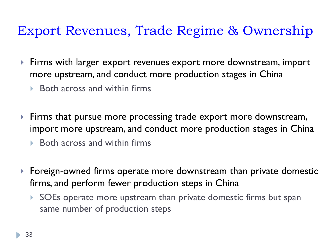## Export Revenues, Trade Regime & Ownership

- Firms with larger export revenues export more downstream, import more upstream, and conduct more production stages in China
	- $\triangleright$  Both across and within firms
- **Firms that pursue more processing trade export more downstream,** import more upstream, and conduct more production stages in China
	- $\triangleright$  Both across and within firms
- Foreign-owned firms operate more downstream than private domestic firms, and perform fewer production steps in China
	- SOEs operate more upstream than private domestic firms but span same number of production steps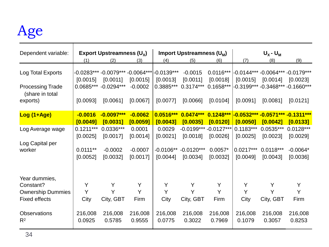# Age

| Dependent variable:                        | Export Upstreamness $(U_x)$ |                      |           | Import Upstreamness (U <sub>M</sub> ) |                        |                         | $U_{\chi}$ - $U_{\text{M}}$ |                                              |             |
|--------------------------------------------|-----------------------------|----------------------|-----------|---------------------------------------|------------------------|-------------------------|-----------------------------|----------------------------------------------|-------------|
|                                            | (1)                         | (2)                  | (3)       | (4)                                   | (5)                    | (6)                     | (7)                         | (8)                                          | (9)         |
| Log Total Exports                          | [0.0015]                    | [0.0011]             | [0.0015]  | [0.0013]                              | $-0.0015$<br>[0.0011]  | $0.0116***$<br>[0.0018] | [0.0015]                    | -0.0144*** -0.0064*** -0.0179***<br>[0.0014] | [0.0023]    |
| <b>Processing Trade</b><br>(share in total |                             | 0.0685*** -0.0294*** | $-0.0002$ | 0.3885***                             | $0.3174***$            | $0.1658***$             |                             | -0.3199*** -0.3468*** -0.1660***             |             |
| exports)                                   | [0.0093]                    | [0.0061]             | [0.0067]  | [0.0077]                              | [0.0066]               | [0.0104]                | [0.0091]                    | [0.0081]                                     | [0.0121]    |
| Log (1+Age)                                | $-0.0016$                   | $-0.0097***$         | $-0.0062$ | 0.0516***                             | $0.0474***$            | $0.1248***$             |                             | $-0.0532***-0.0571***-0.1311***$             |             |
|                                            | [0.0049]                    | [0.0031]             | [0.0059]  | [0.0043]                              | [0.0035]               | [0.0120]                | [0.0050]                    | [0.0042]                                     | [0.0133]    |
| Log Average wage                           | $0.1211***$                 | 0.0336***            | 0.0001    | 0.0029                                | $-0.0199***-0.0127***$ |                         | $0.1183***$                 | $0.0535***$                                  | $0.0128***$ |
| Log Capital per                            | [0.0025]                    | [0.0017]             | [0.0014]  | [0.0021]                              | [0.0018]               | [0.0026]                | [0.0025]                    | [0.0023]                                     | [0.0029]    |
| worker                                     | $0.0111**$                  | $-0.0002$            | $-0.0007$ | $-0.0106**$                           | $-0.0120***$           | $0.0057*$               | $0.0217***$                 | $0.0118***$                                  | $-0.0064*$  |
|                                            | [0.0052]                    | [0.0032]             | [0.0017]  | [0.0044]                              | [0.0034]               | [0.0032]                | [0.0049]                    | [0.0043]                                     | [0.0036]    |
|                                            |                             |                      |           |                                       |                        |                         |                             |                                              |             |
| Year dummies,                              |                             |                      |           |                                       |                        |                         |                             |                                              |             |
| Constant?                                  | Y                           | Y                    | Y         | Y                                     | Y                      | Y                       | Y                           | Y                                            | Y           |
| <b>Ownership Dummies</b>                   | Y                           | Y                    | Y         | Y                                     | Y                      | Y                       | Y                           | Y                                            | Y           |
| <b>Fixed effects</b>                       | City                        | City, GBT            | Firm      | City                                  | City, GBT              | Firm                    | City                        | City, GBT                                    | Firm        |
| <b>Observations</b>                        | 216,008                     | 216,008              | 216,008   | 216,008                               | 216,008                | 216,008                 | 216,008                     | 216,008                                      | 216,008     |
| R <sup>2</sup>                             | 0.0925                      | 0.5785               | 0.9555    | 0.0775                                | 0.3022                 | 0.7969                  | 0.1079                      | 0.3057                                       | 0.8253      |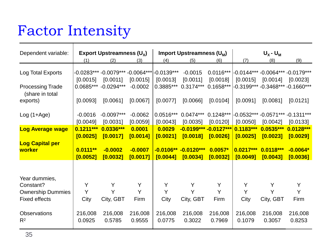# Factor Intensity

| Dependent variable:                        | Export Upstreamness $(U_x)$ |                                                         |                       | <b>Import Upstreamness (U<sub>M</sub>)</b> |                                    |                         | $U_x - U_m$ |                                                |                       |
|--------------------------------------------|-----------------------------|---------------------------------------------------------|-----------------------|--------------------------------------------|------------------------------------|-------------------------|-------------|------------------------------------------------|-----------------------|
|                                            | (1)                         | (2)                                                     | (3)                   | (4)                                        | (5)                                | (6)                     | (7)         | (8)                                            | (9)                   |
| Log Total Exports                          | [0.0015]                    | -0.0283*** -0.0079*** -0.0064*** -0.0139***<br>[0.0011] | [0.0015]              | [0.0013]                                   | $-0.0015$<br>[0.0011]              | $0.0116***$<br>[0.0018] | [0.0015]    | -0.0144*** -0.0064*** -0.0179***<br>$[0.0014]$ | [0.0023]              |
| <b>Processing Trade</b><br>(share in total | $0.0685***$                 | $-0.0294***$                                            | $-0.0002$             | 0.3885***                                  | $0.3174***$                        | $0.1658***$             |             | -0.3199*** -0.3468*** -0.1660***               |                       |
| exports)                                   | [0.0093]                    | [0.0061]                                                | [0.0067]              | [0.0077]                                   | [0.0066]                           | [0.0104]                | [0.0091]    | [0.0081]                                       | [0.0121]              |
| $Log(1+Age)$                               | $-0.0016$<br>[0.0049]       | $-0.0097***$<br>[0.0031]                                | $-0.0062$<br>[0.0059] | $0.0516***$<br>[0.0043]                    | $0.0474***$<br>[0.0035]            | $0.1248***$             | [0.0050]    | -0.0532*** -0.0571*** -0.1311***<br>[0.0042]   | [0.0133]              |
|                                            |                             |                                                         |                       | 0.0029                                     |                                    | [0.0120]                | $0.1183***$ |                                                |                       |
| <b>Log Average wage</b>                    | $0.1211***$<br>[0.0025]     | 0.0336***<br>[0.0017]                                   | 0.0001<br>[0.0014]    | [0.0021]                                   | $-0.0199***-0.0127***$<br>[0.0018] | [0.0026]                | [0.0025]    | $0.0535***$<br>[0.0023]                        | 0.0128***<br>[0.0029] |
| <b>Log Capital per</b>                     |                             |                                                         |                       |                                            |                                    |                         |             |                                                |                       |
| worker                                     | $0.0111**$                  | $-0.0002$                                               | $-0.0007$             |                                            | $-0.0106** -0.0120***$             | $0.0057*$               | $0.0217***$ | 0.0118***                                      | $-0.0064*$            |
|                                            | [0.0052]                    | [0.0032]                                                | [0.0017]              | [0.0044]                                   | [0.0034]                           | [0.0032]                | [0.0049]    | [0.0043]                                       | [0.0036]              |
|                                            |                             |                                                         |                       |                                            |                                    |                         |             |                                                |                       |
| Year dummies,                              |                             |                                                         |                       |                                            |                                    |                         |             |                                                |                       |
| Constant?                                  | Y                           | Y                                                       | Y                     | Y                                          | Y                                  | Y                       | Y           | Y                                              | Y                     |
| <b>Ownership Dummies</b>                   | Y                           | Y                                                       | Y                     | Y                                          | Y                                  | Y                       | Y           | Y                                              | Y                     |
| <b>Fixed effects</b>                       | City                        | City, GBT                                               | Firm                  | City                                       | City, GBT                          | Firm                    | City        | City, GBT                                      | Firm                  |
| <b>Observations</b>                        | 216,008                     | 216,008                                                 | 216,008               | 216,008                                    | 216,008                            | 216,008                 | 216,008     | 216,008                                        | 216,008               |
| $R^2$                                      | 0.0925                      | 0.5785                                                  | 0.9555                | 0.0775                                     | 0.3022                             | 0.7969                  | 0.1079      | 0.3057                                         | 0.8253                |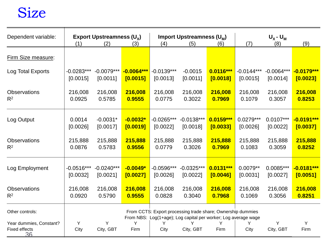## Size

| Dependent variable:                            |              | Export Upstreamness $(U_x)$<br>Import Upstreamness (U <sub>M</sub> ) |              |              | $U_x - U_m$    |                                                                                                                               |              |                |              |
|------------------------------------------------|--------------|----------------------------------------------------------------------|--------------|--------------|----------------|-------------------------------------------------------------------------------------------------------------------------------|--------------|----------------|--------------|
|                                                | (1)          | (2)                                                                  | (3)          | (4)          | (5)            | (6)                                                                                                                           | (7)          | (8)            | (9)          |
| Firm Size measure:                             |              |                                                                      |              |              |                |                                                                                                                               |              |                |              |
| Log Total Exports                              | $-0.0283***$ | $-0.0079***$                                                         | $-0.0064***$ | $-0.0139***$ | $-0.0015$      | 0.0116***                                                                                                                     | $-0.0144***$ | $-0.0064***$   | $-0.0179***$ |
|                                                | [0.0015]     | [0.0011]                                                             | [0.0015]     | [0.0013]     | [0.0011]       | [0.0018]                                                                                                                      | [0.0015]     | [0.0014]       | [0.0023]     |
| <b>Observations</b>                            | 216,008      | 216,008                                                              | 216,008      | 216,008      | 216,008        | 216,008                                                                                                                       | 216,008      | 216,008        | 216,008      |
| R <sup>2</sup>                                 | 0.0925       | 0.5785                                                               | 0.9555       | 0.0775       | 0.3022         | 0.7969                                                                                                                        | 0.1079       | 0.3057         | 0.8253       |
| Log Output                                     | 0.0014       | $-0.0031*$                                                           | $-0.0032*$   | $-0.0265***$ | $-0.0138***$   | $0.0159***$                                                                                                                   | $0.0279***$  | $0.0107***$    | $-0.0191***$ |
|                                                | [0.0026]     | [0.0017]                                                             | [0.0019]     | [0.0022]     | [0.0018]       | [0.0033]                                                                                                                      | [0.0026]     | [0.0022]       | [0.0037]     |
| <b>Observations</b>                            | 215,888      | 215,888                                                              | 215,888      | 215,888      | 215,888        | 215,888                                                                                                                       | 215,888      | 215,888        | 215,888      |
| $R^2$                                          | 0.0876       | 0.5783                                                               | 0.9556       | 0.0779       | 0.3026         | 0.7969                                                                                                                        | 0.1083       | 0.3059         | 0.8252       |
| Log Employment                                 | $-0.0516***$ | $-0.0240***$                                                         | $-0.0049*$   | $-0.0596***$ | $-0.0325***$   | $0.0131***$                                                                                                                   | $0.0079**$   | $0.0085***$    | $-0.0181***$ |
|                                                | [0.0032]     | [0.0021]                                                             | [0.0027]     | [0.0026]     | [0.0022]       | [0.0046]                                                                                                                      | [0.0031]     | [0.0027]       | [0.0051]     |
| <b>Observations</b>                            | 216,008      | 216,008                                                              | 216,008      | 216,008      | 216,008        | 216,008                                                                                                                       | 216,008      | 216,008        | 216,008      |
| $R^2$                                          | 0.0920       | 0.5790                                                               | 0.9555       | 0.0828       | 0.3040         | 0.7968                                                                                                                        | 0.1069       | 0.3056         | 0.8251       |
| Other controls:                                |              |                                                                      |              |              |                | From CCTS: Export processing trade share; Ownership dummies<br>From NBS: Log(1+age); Log capital per worker; Log average wage |              |                |              |
| Year dummies, Constant?<br>Fixed effects<br>36 | Y<br>City    | Y<br>City, GBT                                                       | Y<br>Firm    | Y<br>City    | Y<br>City, GBT | Y<br>Firm                                                                                                                     | Y<br>City    | Y<br>City, GBT | Y<br>Firm    |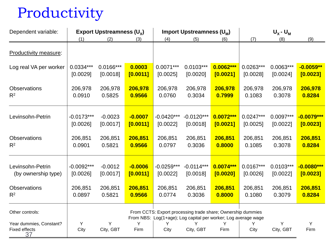# Productivity

| Dependent variable:                            |              | Export Upstreamness $(U_x)$ |           |                                                                                                                               | Import Upstreamness (U <sub>M</sub> ) |             |             | $U_{X}$ - $U_{M}$ |              |  |
|------------------------------------------------|--------------|-----------------------------|-----------|-------------------------------------------------------------------------------------------------------------------------------|---------------------------------------|-------------|-------------|-------------------|--------------|--|
|                                                | (1)          | (2)                         | (3)       | (4)                                                                                                                           | (5)                                   | (6)         | (7)         | (8)               | (9)          |  |
| Productivity measure:                          |              |                             |           |                                                                                                                               |                                       |             |             |                   |              |  |
| Log real VA per worker                         | 0.0334***    | $0.0166***$                 | 0.0003    | $0.0071***$                                                                                                                   | $0.0103***$                           | $0.0062***$ | $0.0263***$ | $0.0063***$       | $-0.0059**$  |  |
|                                                | [0.0029]     | [0.0018]                    | [0.0011]  | [0.0025]                                                                                                                      | [0.0020]                              | [0.0021]    | [0.0028]    | [0.0024]          | [0.0023]     |  |
| <b>Observations</b>                            | 206,978      | 206,978                     | 206,978   | 206,978                                                                                                                       | 206,978                               | 206,978     | 206,978     | 206,978           | 206,978      |  |
| $R^2$                                          | 0.0910       | 0.5825                      | 0.9566    | 0.0760                                                                                                                        | 0.3034                                | 0.7999      | 0.1083      | 0.3078            | 0.8284       |  |
| Levinsohn-Petrin                               | $-0.0173***$ | $-0.0023$                   | $-0.0007$ | $-0.0420***$                                                                                                                  | $-0.0120***$                          | $0.0072***$ | $0.0247***$ | $0.0097***$       | $-0.0079***$ |  |
|                                                | [0.0026]     | [0.0017]                    | [0.0011]  | [0.0022]                                                                                                                      | [0.0018]                              | [0.0021]    | [0.0025]    | [0.0022]          | [0.0023]     |  |
| Observations                                   | 206,851      | 206,851                     | 206,851   | 206,851                                                                                                                       | 206,851                               | 206,851     | 206,851     | 206,851           | 206,851      |  |
| $R^2$                                          | 0.0901       | 0.5821                      | 0.9566    | 0.0797                                                                                                                        | 0.3036                                | 0.8000      | 0.1085      | 0.3078            | 0.8284       |  |
| Levinsohn-Petrin                               | $-0.0092***$ | $-0.0012$                   | $-0.0006$ | $-0.0259***$                                                                                                                  | $-0.0114***$                          | $0.0074***$ | $0.0167***$ | $0.0103***$       | $-0.0080***$ |  |
| (by ownership type)                            | [0.0026]     | [0.0017]                    | [0.0011]  | [0.0022]                                                                                                                      | [0.0018]                              | [0.0020]    | [0.0026]    | [0.0022]          | [0.0023]     |  |
| <b>Observations</b>                            | 206,851      | 206,851                     | 206,851   | 206,851                                                                                                                       | 206,851                               | 206,851     | 206,851     | 206,851           | 206,851      |  |
| $R^2$                                          | 0.0897       | 0.5821                      | 0.9566    | 0.0774                                                                                                                        | 0.3036                                | 0.8000      | 0.1080      | 0.3079            | 0.8284       |  |
| Other controls:                                |              |                             |           | From CCTS: Export processing trade share; Ownership dummies<br>From NBS: Log(1+age); Log capital per worker; Log average wage |                                       |             |             |                   |              |  |
| Year dummies, Constant?<br>Fixed effects<br>37 | Y<br>City    | Υ<br>City, GBT              | Y<br>Firm | Y<br>City                                                                                                                     | Y<br>City, GBT                        | Y<br>Firm   | Y<br>City   | Y<br>City, GBT    | Y<br>Firm    |  |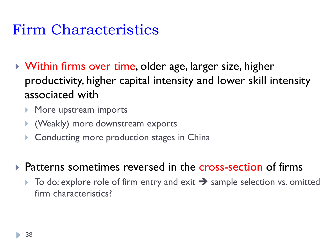# Firm Characteristics

- ▶ Within firms over time, older age, larger size, higher productivity, higher capital intensity and lower skill intensity associated with
	- More upstream imports
	- (Weakly) more downstream exports
	- **Conducting more production stages in China**
- ▶ Patterns sometimes reversed in the cross-section of firms
	- $\triangleright$  To do: explore role of firm entry and exit  $\rightarrow$  sample selection vs. omitted firm characteristics?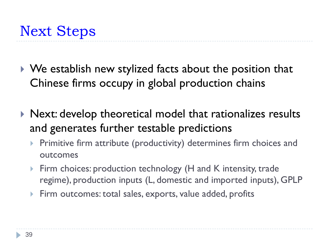- ▶ We establish new stylized facts about the position that Chinese firms occupy in global production chains
- ▶ Next: develop theoretical model that rationalizes results and generates further testable predictions
	- Primitive firm attribute (productivity) determines firm choices and outcomes
	- Firm choices: production technology (H and K intensity, trade regime), production inputs (L, domestic and imported inputs), GPLP
	- Firm outcomes: total sales, exports, value added, profits